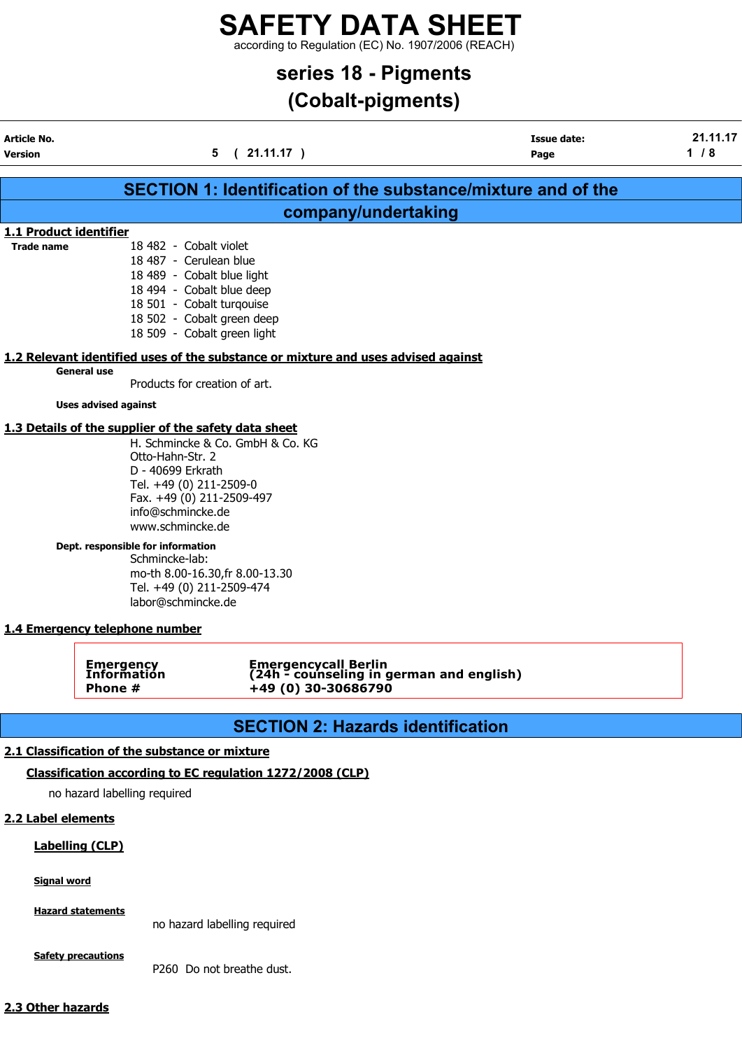according to Regulation (EC) No. 1907/2006 (REACH)

## series 18 - Pigments

## (Cobalt-pigments)

| Article No.<br><b>Version</b> |                                                                                                                                                                                                                                                  | 5<br>(21.11.17)                                                                                | <b>Issue date:</b><br>Page                                           | 21.11.17<br>1/8 |
|-------------------------------|--------------------------------------------------------------------------------------------------------------------------------------------------------------------------------------------------------------------------------------------------|------------------------------------------------------------------------------------------------|----------------------------------------------------------------------|-----------------|
|                               |                                                                                                                                                                                                                                                  |                                                                                                |                                                                      |                 |
|                               |                                                                                                                                                                                                                                                  |                                                                                                | <b>SECTION 1: Identification of the substance/mixture and of the</b> |                 |
|                               |                                                                                                                                                                                                                                                  | company/undertaking                                                                            |                                                                      |                 |
|                               | 1.1 Product identifier                                                                                                                                                                                                                           |                                                                                                |                                                                      |                 |
| <b>Trade name</b>             | 18 482 - Cobalt violet<br>18 487 - Cerulean blue<br>18 489 - Cobalt blue light<br>18 494 - Cobalt blue deep<br>18 501 - Cobalt turqouise<br>18 502 - Cobalt green deep<br>18 509 - Cobalt green light                                            |                                                                                                |                                                                      |                 |
|                               |                                                                                                                                                                                                                                                  | 1.2 Relevant identified uses of the substance or mixture and uses advised against              |                                                                      |                 |
|                               | <b>General use</b><br>Products for creation of art.                                                                                                                                                                                              |                                                                                                |                                                                      |                 |
|                               | <b>Uses advised against</b>                                                                                                                                                                                                                      |                                                                                                |                                                                      |                 |
|                               | 1.3 Details of the supplier of the safety data sheet                                                                                                                                                                                             |                                                                                                |                                                                      |                 |
|                               | Otto-Hahn-Str. 2<br>D - 40699 Erkrath<br>Tel. +49 (0) 211-2509-0<br>Fax. +49 (0) 211-2509-497<br>info@schmincke.de<br>www.schmincke.de<br>Dept. responsible for information<br>Schmincke-lab:<br>Tel. +49 (0) 211-2509-474<br>labor@schmincke.de | mo-th 8.00-16.30, fr 8.00-13.30                                                                |                                                                      |                 |
|                               | 1.4 Emergency telephone number                                                                                                                                                                                                                   |                                                                                                |                                                                      |                 |
|                               | <b>Emergency</b><br><b>Information</b><br>Phone #                                                                                                                                                                                                | <b>Emergencycall Berlin</b><br>(24h - counseling in german and english)<br>+49 (0) 30-30686790 |                                                                      |                 |
|                               |                                                                                                                                                                                                                                                  | <b>SECTION 2: Hazards identification</b>                                                       |                                                                      |                 |
|                               | 2.1 Classification of the substance or mixture                                                                                                                                                                                                   |                                                                                                |                                                                      |                 |
|                               |                                                                                                                                                                                                                                                  | Classification according to EC regulation 1272/2008 (CLP)                                      |                                                                      |                 |
|                               | no hazard labelling required                                                                                                                                                                                                                     |                                                                                                |                                                                      |                 |
| 2.2 Label elements            |                                                                                                                                                                                                                                                  |                                                                                                |                                                                      |                 |
|                               | <b>Labelling (CLP)</b>                                                                                                                                                                                                                           |                                                                                                |                                                                      |                 |
| <b>Signal word</b>            |                                                                                                                                                                                                                                                  |                                                                                                |                                                                      |                 |

Hazard statements

no hazard labelling required

**Safety precautions** 

P260 Do not breathe dust.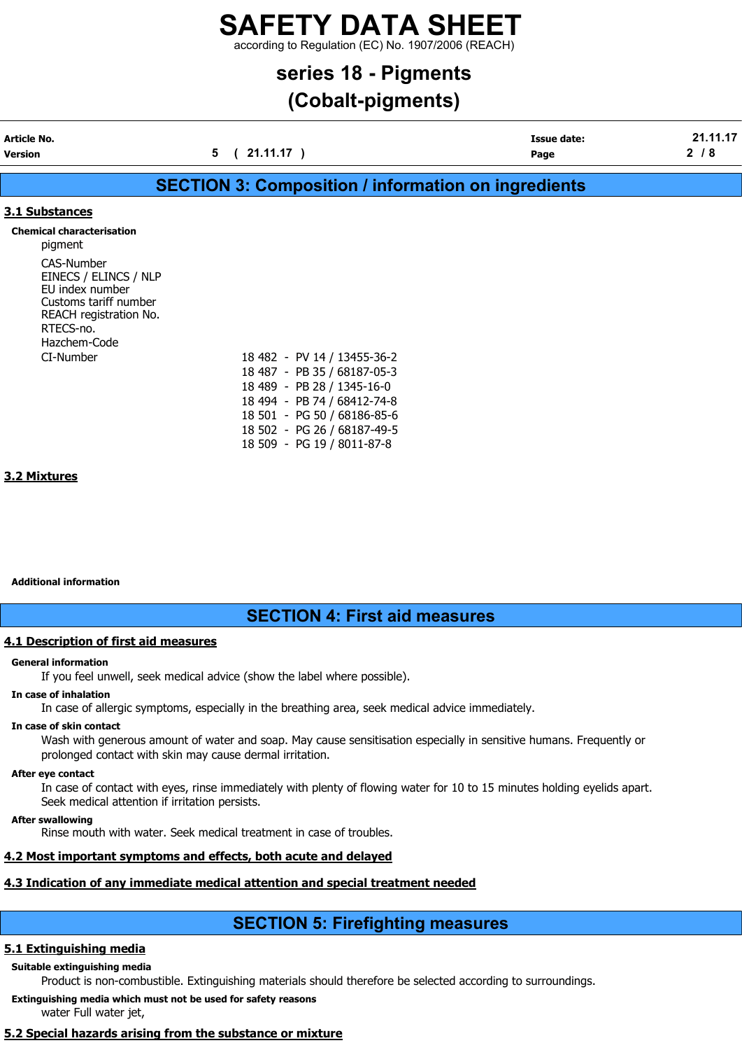according to Regulation (EC) No. 1907/2006 (REACH)

### series 18 - Pigments

## (Cobalt-pigments)

| Version     | 21.11.17 | Page               |   |
|-------------|----------|--------------------|---|
| Article No. |          | <b>Issue date:</b> | . |
|             |          |                    |   |

### SECTION 3: Composition / information on ingredients

### 3.1 Substances

Chemical characterisation

pigment CAS-Number EINECS / ELINCS / NLP EU index number Customs tariff number REACH registration No. RTECS-no. Hazchem-Code CI-Number

|  | 18 482 - PV 14 / 13455-36-2 |
|--|-----------------------------|
|  | 18 487 - PB 35 / 68187-05-3 |
|  | 18 489 - PB 28 / 1345-16-0  |
|  | 18 494 - PB 74 / 68412-74-8 |
|  | 18 501 - PG 50 / 68186-85-6 |
|  | 18 502 - PG 26 / 68187-49-5 |
|  | 18 509 - PG 19 / 8011-87-8  |
|  |                             |

### 3.2 Mixtures

Additional information

### SECTION 4: First aid measures

### 4.1 Description of first aid measures

### General information

If you feel unwell, seek medical advice (show the label where possible).

### In case of inhalation

In case of allergic symptoms, especially in the breathing area, seek medical advice immediately.

### In case of skin contact

Wash with generous amount of water and soap. May cause sensitisation especially in sensitive humans. Frequently or prolonged contact with skin may cause dermal irritation.

### After eye contact

In case of contact with eyes, rinse immediately with plenty of flowing water for 10 to 15 minutes holding eyelids apart. Seek medical attention if irritation persists.

### After swallowing

Rinse mouth with water. Seek medical treatment in case of troubles.

### 4.2 Most important symptoms and effects, both acute and delayed

### 4.3 Indication of any immediate medical attention and special treatment needed

### SECTION 5: Firefighting measures

### 5.1 Extinguishing media

### Suitable extinguishing media

Product is non-combustible. Extinguishing materials should therefore be selected according to surroundings.

Extinguishing media which must not be used for safety reasons

water Full water jet,

### 5.2 Special hazards arising from the substance or mixture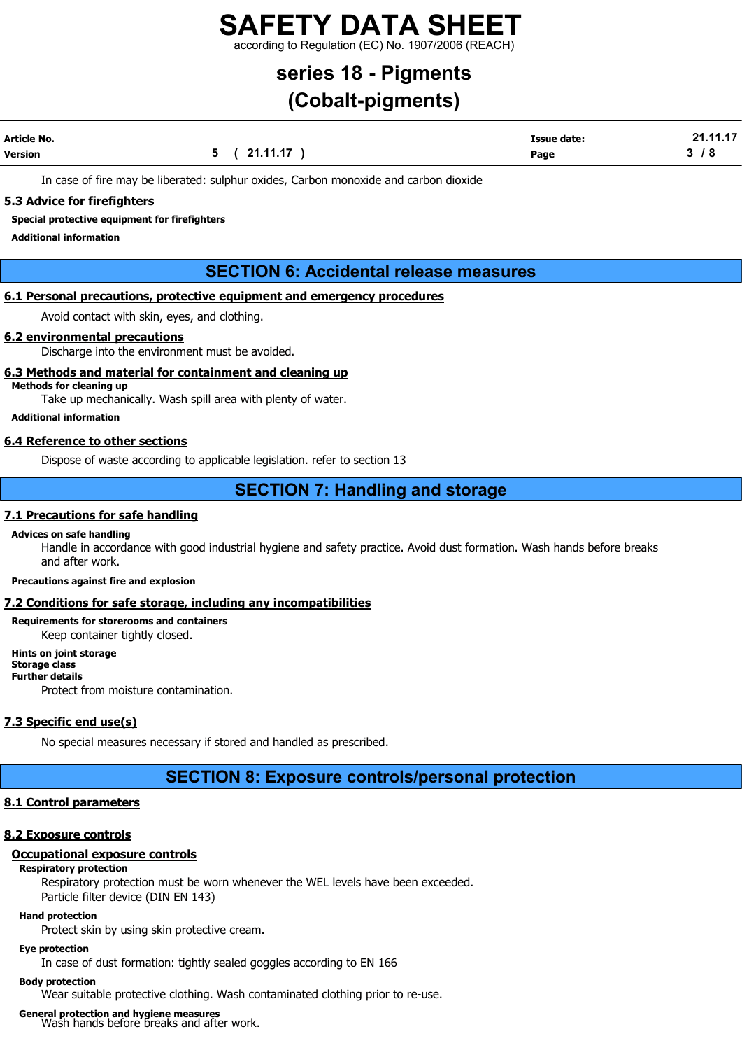according to Regulation (EC) No. 1907/2006 (REACH)

## series 18 - Pigments

## (Cobalt-pigments)

| Article No. |              | <b>Issue date:</b> | 21.11.17 |
|-------------|--------------|--------------------|----------|
| Version     | 5 ( 21.11.17 | Page               | 3/8      |

In case of fire may be liberated: sulphur oxides, Carbon monoxide and carbon dioxide

### 5.3 Advice for firefighters

Special protective equipment for firefighters

Additional information

### SECTION 6: Accidental release measures

### 6.1 Personal precautions, protective equipment and emergency procedures

Avoid contact with skin, eyes, and clothing.

### 6.2 environmental precautions

Discharge into the environment must be avoided.

### 6.3 Methods and material for containment and cleaning up

Methods for cleaning up

Take up mechanically. Wash spill area with plenty of water.

Additional information

### 6.4 Reference to other sections

Dispose of waste according to applicable legislation. refer to section 13

### SECTION 7: Handling and storage

### 7.1 Precautions for safe handling

#### Advices on safe handling

Handle in accordance with good industrial hygiene and safety practice. Avoid dust formation. Wash hands before breaks and after work.

#### Precautions against fire and explosion

#### 7.2 Conditions for safe storage, including any incompatibilities

### Requirements for storerooms and containers

Keep container tightly closed.

### Hints on joint storage

Storage class Further details

Protect from moisture contamination.

### 7.3 Specific end use(s)

No special measures necessary if stored and handled as prescribed.

### SECTION 8: Exposure controls/personal protection

### 8.1 Control parameters

### 8.2 Exposure controls

### Occupational exposure controls

### Respiratory protection

Respiratory protection must be worn whenever the WEL levels have been exceeded. Particle filter device (DIN EN 143)

### Hand protection

Protect skin by using skin protective cream.

### Eye protection

In case of dust formation: tightly sealed goggles according to EN 166

### Body protection

Wear suitable protective clothing. Wash contaminated clothing prior to re-use.

## General protection and hygiene measures<br>Wash hands before breaks and after work.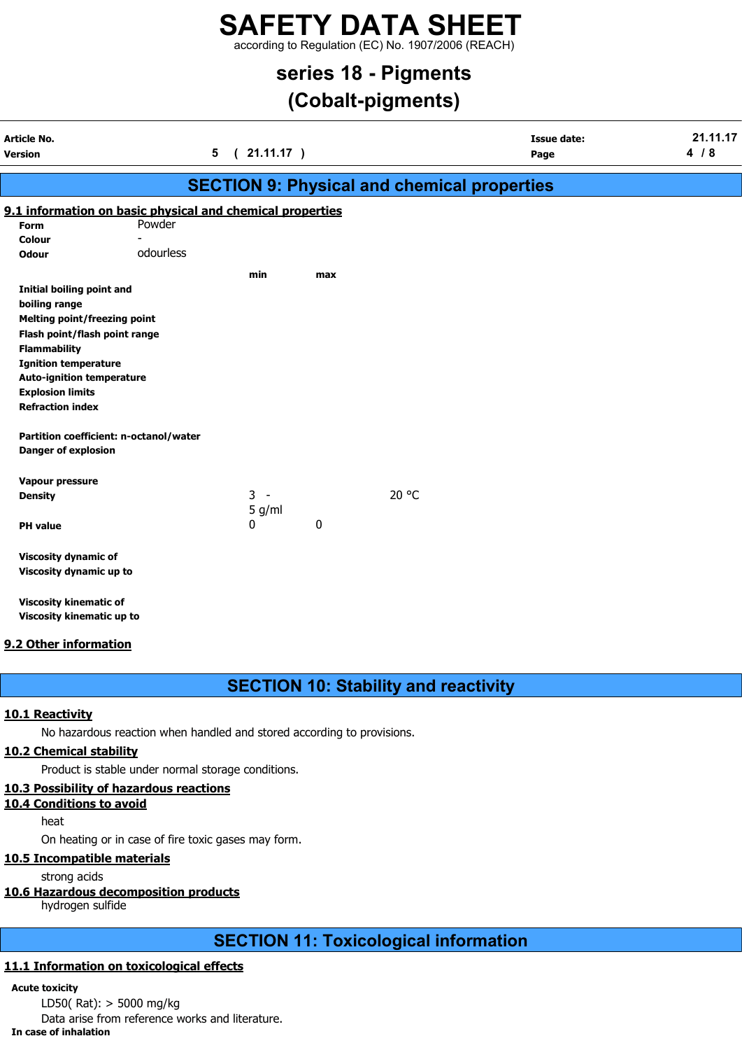according to Regulation (EC) No. 1907/2006 (REACH)

### series 18 - Pigments

## (Cobalt-pigments)

| Article No.<br>Version              |                                                           | $21.11.17$ )<br>$5\phantom{.0}$<br>$\sqrt{2}$ |     |                                                    | <b>Issue date:</b><br>Page | 21.11.17<br>4/8 |
|-------------------------------------|-----------------------------------------------------------|-----------------------------------------------|-----|----------------------------------------------------|----------------------------|-----------------|
|                                     |                                                           |                                               |     | <b>SECTION 9: Physical and chemical properties</b> |                            |                 |
|                                     | 9.1 information on basic physical and chemical properties |                                               |     |                                                    |                            |                 |
| Form                                | Powder                                                    |                                               |     |                                                    |                            |                 |
| <b>Colour</b>                       |                                                           |                                               |     |                                                    |                            |                 |
| <b>Odour</b>                        | odourless                                                 |                                               |     |                                                    |                            |                 |
|                                     |                                                           | min                                           | max |                                                    |                            |                 |
| <b>Initial boiling point and</b>    |                                                           |                                               |     |                                                    |                            |                 |
| boiling range                       |                                                           |                                               |     |                                                    |                            |                 |
| <b>Melting point/freezing point</b> |                                                           |                                               |     |                                                    |                            |                 |
| Flash point/flash point range       |                                                           |                                               |     |                                                    |                            |                 |
| <b>Flammability</b>                 |                                                           |                                               |     |                                                    |                            |                 |
| <b>Ignition temperature</b>         |                                                           |                                               |     |                                                    |                            |                 |
| <b>Auto-ignition temperature</b>    |                                                           |                                               |     |                                                    |                            |                 |
| <b>Explosion limits</b>             |                                                           |                                               |     |                                                    |                            |                 |
| <b>Refraction index</b>             |                                                           |                                               |     |                                                    |                            |                 |
|                                     | Partition coefficient: n-octanol/water                    |                                               |     |                                                    |                            |                 |
| <b>Danger of explosion</b>          |                                                           |                                               |     |                                                    |                            |                 |
| Vapour pressure                     |                                                           |                                               |     |                                                    |                            |                 |
| <b>Density</b>                      |                                                           | $3 -$                                         |     | 20 °C                                              |                            |                 |
|                                     |                                                           | 5 g/ml                                        |     |                                                    |                            |                 |
| <b>PH</b> value                     |                                                           | 0                                             | 0   |                                                    |                            |                 |
| <b>Viscosity dynamic of</b>         |                                                           |                                               |     |                                                    |                            |                 |
| Viscosity dynamic up to             |                                                           |                                               |     |                                                    |                            |                 |
| <b>Viscosity kinematic of</b>       |                                                           |                                               |     |                                                    |                            |                 |
| Viscosity kinematic up to           |                                                           |                                               |     |                                                    |                            |                 |

### 9.2 Other information

### SECTION 10: Stability and reactivity

### 10.1 Reactivity

No hazardous reaction when handled and stored according to provisions.

### 10.2 Chemical stability

Product is stable under normal storage conditions.

### 10.3 Possibility of hazardous reactions

10.4 Conditions to avoid

heat

On heating or in case of fire toxic gases may form.

### 10.5 Incompatible materials

strong acids

### 10.6 Hazardous decomposition products

hydrogen sulfide

### SECTION 11: Toxicological information

### 11.1 Information on toxicological effects

### Acute toxicity

LD50( Rat): > 5000 mg/kg

Data arise from reference works and literature.

#### In case of inhalation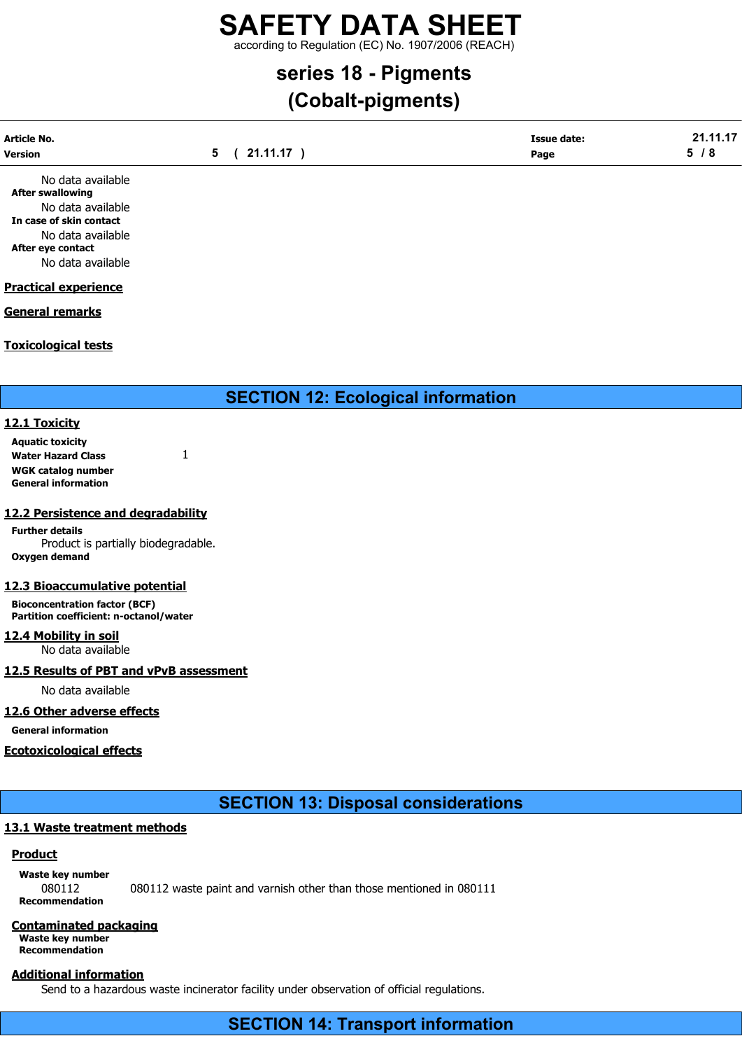according to Regulation (EC) No. 1907/2006 (REACH)

## series 18 - Pigments

## (Cobalt-pigments)

| <b>Article No.</b> | (21.11.17) | <b>Issue date:</b> | 24 44 47 |
|--------------------|------------|--------------------|----------|
| <b>Version</b>     |            | Page               | o        |
|                    |            |                    |          |

No data available After swallowing No data available In case of skin contact No data available After eye contact No data available

### Practical experience

### General remarks

### Toxicological tests

SECTION 12: Ecological information

### 12.1 Toxicity

Aquatic toxicity Water Hazard Class 1 WGK catalog number General information

### 12.2 Persistence and degradability

Further details Product is partially biodegradable. Oxygen demand

### 12.3 Bioaccumulative potential

Bioconcentration factor (BCF) Partition coefficient: n-octanol/water

12.4 Mobility in soil No data available

### 12.5 Results of PBT and vPvB assessment

No data available

### 12.6 Other adverse effects

General information

### Ecotoxicological effects

SECTION 13: Disposal considerations

### 13.1 Waste treatment methods

### Product

Waste key number 080112 080112 waste paint and varnish other than those mentioned in 080111 Recommendation

### Contaminated packaging

Waste key number Recommendation

### Additional information

Send to a hazardous waste incinerator facility under observation of official regulations.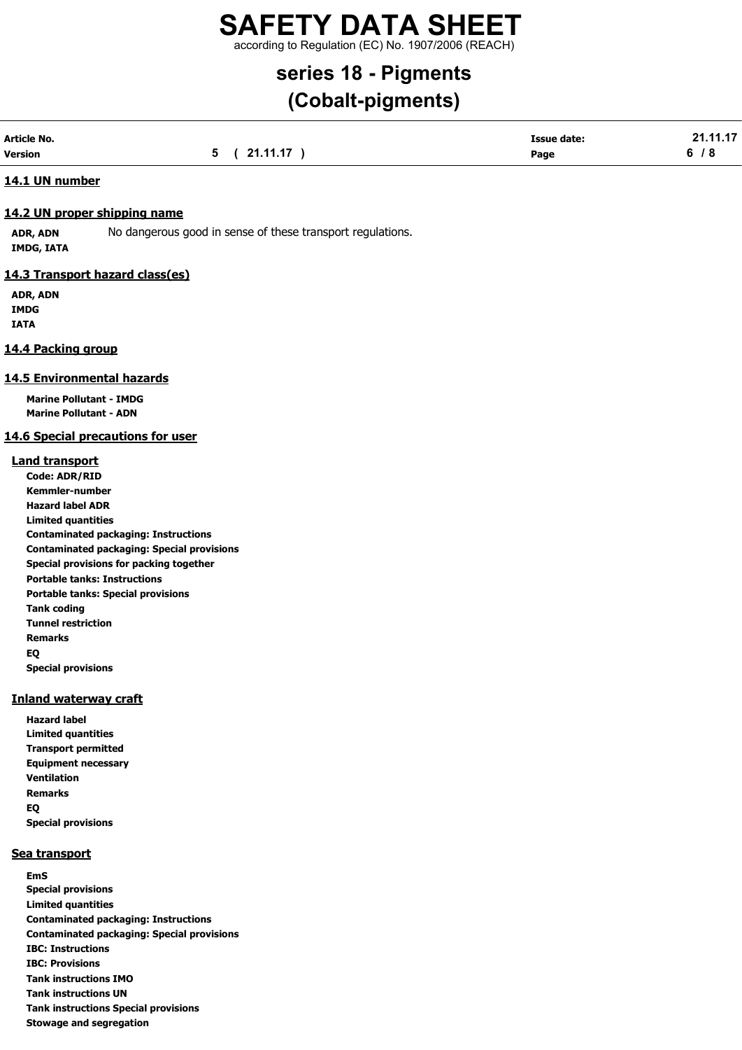according to Regulation (EC) No. 1907/2006 (REACH)

## series 18 - Pigments

## (Cobalt-pigments)

| Article No. |              | <b>Issue date:</b> | 21.11.17 |
|-------------|--------------|--------------------|----------|
| Version     | 5 ( 21.11.17 | Page               | 6/8      |

### 14.1 UN number

### 14.2 UN proper shipping name

ADR, ADN No dangerous good in sense of these transport regulations. IMDG, IATA

### 14.3 Transport hazard class(es)

ADR, ADN IMDG IATA

### 14.4 Packing group

### 14.5 Environmental hazards

Marine Pollutant - IMDG Marine Pollutant - ADN

### 14.6 Special precautions for user

### Land transport

Code: ADR/RID Kemmler-number Hazard label ADR Limited quantities Contaminated packaging: Instructions Contaminated packaging: Special provisions Special provisions for packing together Portable tanks: Instructions Portable tanks: Special provisions Tank coding Tunnel restriction Remarks EQ Special provisions

### Inland waterway craft

Hazard label Limited quantities Transport permitted Equipment necessary Ventilation Remarks EQ Special provisions

### Sea transport

EmS Special provisions Limited quantities Contaminated packaging: Instructions Contaminated packaging: Special provisions IBC: Instructions IBC: Provisions Tank instructions IMO Tank instructions UN Tank instructions Special provisions Stowage and segregation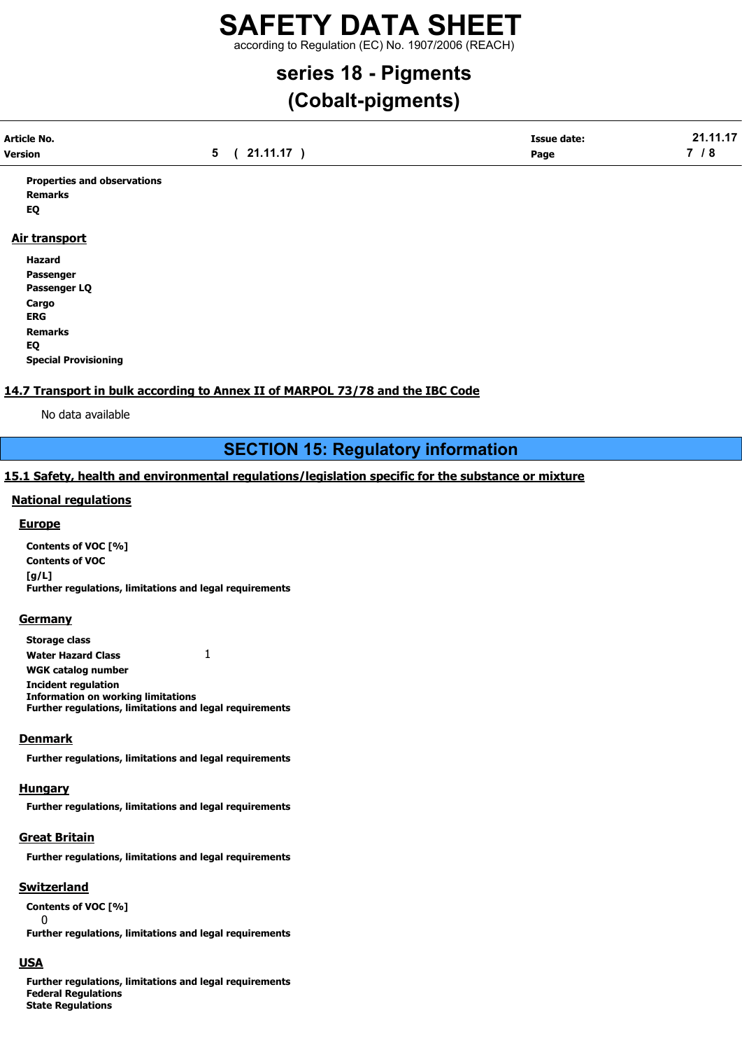according to Regulation (EC) No. 1907/2006 (REACH)

## series 18 - Pigments

## (Cobalt-pigments)

| Article No.    |                                | <b>Issue date:</b> | .      |
|----------------|--------------------------------|--------------------|--------|
| <b>Version</b> | 21 11 17<br><u>_</u> _________ | Page               | -<br>o |
|                |                                |                    |        |

Properties and observations Remarks EQ

### Air transport

Hazard Passenger Passenger LQ Cargo ERG Remarks EQ Special Provisioning

### 14.7 Transport in bulk according to Annex II of MARPOL 73/78 and the IBC Code

No data available

### SECTION 15: Regulatory information

### 15.1 Safety, health and environmental regulations/legislation specific for the substance or mixture

### National regulations

### **Europe**

Contents of VOC [%] Contents of VOC [g/L] Further regulations, limitations and legal requirements

#### **Germany**

Storage class Water Hazard Class 1 WGK catalog number Incident regulation Information on working limitations Further regulations, limitations and legal requirements

### **Denmark**

Further regulations, limitations and legal requirements

#### **Hungary**

Further regulations, limitations and legal requirements

### **Great Britain**

Further regulations, limitations and legal requirements

### **Switzerland**

Contents of VOC [%]

 $\Omega$ Further regulations, limitations and legal requirements

### USA

Further regulations, limitations and legal requirements Federal Regulations State Regulations